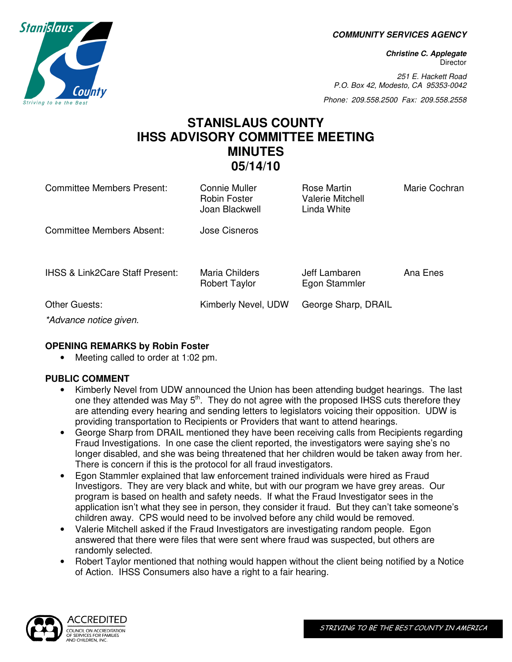**COMMUNITY SERVICES AGENCY** 

**Christine C. Applegate Director** 

251 E. Hackett Road P.O. Box 42, Modesto, CA 95353-0042

Phone: 209.558.2500 Fax: 209.558.2558

# **STANISLAUS COUNTY IHSS ADVISORY COMMITTEE MEETING MINUTES 05/14/10**

| <b>Committee Members Present:</b>          | Connie Muller<br><b>Robin Foster</b><br>Joan Blackwell | Rose Martin<br><b>Valerie Mitchell</b><br>Linda White | Marie Cochran |
|--------------------------------------------|--------------------------------------------------------|-------------------------------------------------------|---------------|
| Committee Members Absent:                  | Jose Cisneros                                          |                                                       |               |
| <b>IHSS &amp; Link2Care Staff Present:</b> | Maria Childers<br><b>Robert Taylor</b>                 | Jeff Lambaren<br>Egon Stammler                        | Ana Enes      |
| Other Guests:<br>*Advance notice given.    | Kimberly Nevel, UDW                                    | George Sharp, DRAIL                                   |               |

# **OPENING REMARKS by Robin Foster**

• Meeting called to order at 1:02 pm.

# **PUBLIC COMMENT**

- Kimberly Nevel from UDW announced the Union has been attending budget hearings. The last one they attended was May  $5<sup>th</sup>$ . They do not agree with the proposed IHSS cuts therefore they are attending every hearing and sending letters to legislators voicing their opposition. UDW is providing transportation to Recipients or Providers that want to attend hearings.
- George Sharp from DRAIL mentioned they have been receiving calls from Recipients regarding Fraud Investigations. In one case the client reported, the investigators were saying she's no longer disabled, and she was being threatened that her children would be taken away from her. There is concern if this is the protocol for all fraud investigators.
- Egon Stammler explained that law enforcement trained individuals were hired as Fraud Investigors. They are very black and white, but with our program we have grey areas. Our program is based on health and safety needs. If what the Fraud Investigator sees in the application isn't what they see in person, they consider it fraud. But they can't take someone's children away. CPS would need to be involved before any child would be removed.
- Valerie Mitchell asked if the Fraud Investigators are investigating random people. Egon answered that there were files that were sent where fraud was suspected, but others are randomly selected.
- Robert Taylor mentioned that nothing would happen without the client being notified by a Notice of Action. IHSS Consumers also have a right to a fair hearing.

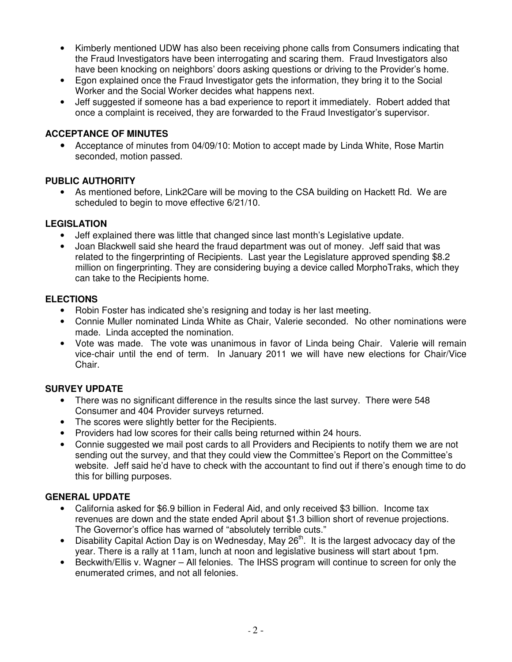- Kimberly mentioned UDW has also been receiving phone calls from Consumers indicating that the Fraud Investigators have been interrogating and scaring them. Fraud Investigators also have been knocking on neighbors' doors asking questions or driving to the Provider's home.
- Egon explained once the Fraud Investigator gets the information, they bring it to the Social Worker and the Social Worker decides what happens next.
- Jeff suggested if someone has a bad experience to report it immediately. Robert added that once a complaint is received, they are forwarded to the Fraud Investigator's supervisor.

## **ACCEPTANCE OF MINUTES**

• Acceptance of minutes from 04/09/10: Motion to accept made by Linda White, Rose Martin seconded, motion passed.

#### **PUBLIC AUTHORITY**

• As mentioned before, Link2Care will be moving to the CSA building on Hackett Rd. We are scheduled to begin to move effective 6/21/10.

## **LEGISLATION**

- Jeff explained there was little that changed since last month's Legislative update.
- Joan Blackwell said she heard the fraud department was out of money. Jeff said that was related to the fingerprinting of Recipients. Last year the Legislature approved spending \$8.2 million on fingerprinting. They are considering buying a device called MorphoTraks, which they can take to the Recipients home.

## **ELECTIONS**

- Robin Foster has indicated she's resigning and today is her last meeting.
- Connie Muller nominated Linda White as Chair, Valerie seconded. No other nominations were made. Linda accepted the nomination.
- Vote was made. The vote was unanimous in favor of Linda being Chair. Valerie will remain vice-chair until the end of term. In January 2011 we will have new elections for Chair/Vice Chair.

#### **SURVEY UPDATE**

- There was no significant difference in the results since the last survey. There were 548 Consumer and 404 Provider surveys returned.
- The scores were slightly better for the Recipients.
- Providers had low scores for their calls being returned within 24 hours.
- Connie suggested we mail post cards to all Providers and Recipients to notify them we are not sending out the survey, and that they could view the Committee's Report on the Committee's website. Jeff said he'd have to check with the accountant to find out if there's enough time to do this for billing purposes.

#### **GENERAL UPDATE**

- California asked for \$6.9 billion in Federal Aid, and only received \$3 billion. Income tax revenues are down and the state ended April about \$1.3 billion short of revenue projections. The Governor's office has warned of "absolutely terrible cuts."
- Disability Capital Action Day is on Wednesday, May  $26<sup>th</sup>$ . It is the largest advocacy day of the year. There is a rally at 11am, lunch at noon and legislative business will start about 1pm.
- Beckwith/Ellis v. Wagner All felonies. The IHSS program will continue to screen for only the enumerated crimes, and not all felonies.